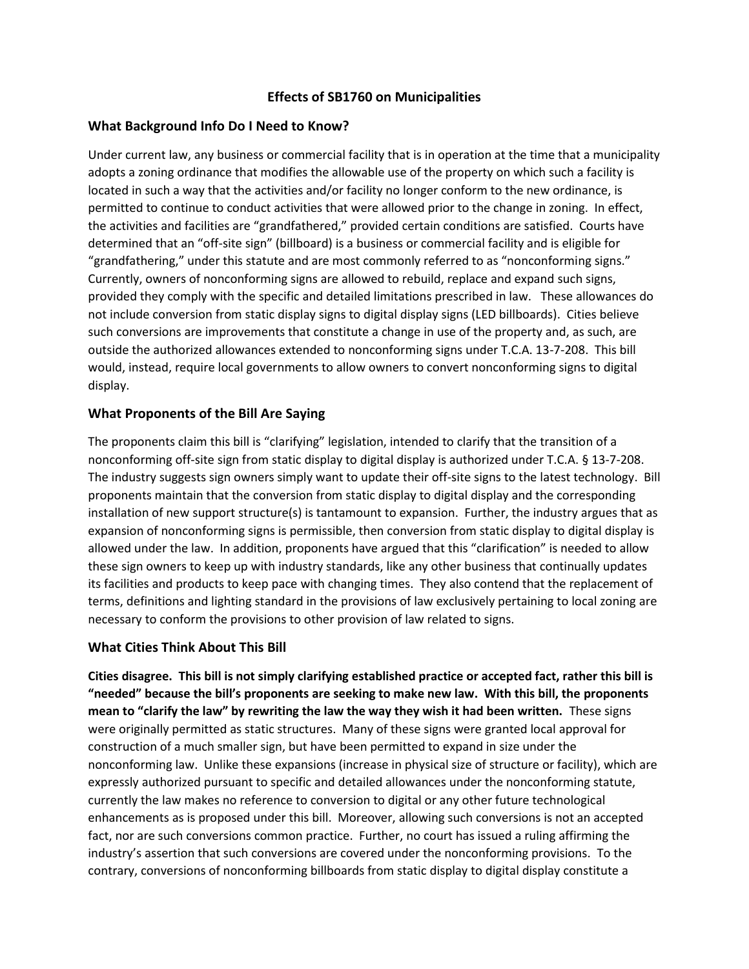## **Effects of SB1760 on Municipalities**

## **What Background Info Do I Need to Know?**

Under current law, any business or commercial facility that is in operation at the time that a municipality adopts a zoning ordinance that modifies the allowable use of the property on which such a facility is located in such a way that the activities and/or facility no longer conform to the new ordinance, is permitted to continue to conduct activities that were allowed prior to the change in zoning. In effect, the activities and facilities are "grandfathered," provided certain conditions are satisfied. Courts have determined that an "off-site sign" (billboard) is a business or commercial facility and is eligible for "grandfathering," under this statute and are most commonly referred to as "nonconforming signs." Currently, owners of nonconforming signs are allowed to rebuild, replace and expand such signs, provided they comply with the specific and detailed limitations prescribed in law. These allowances do not include conversion from static display signs to digital display signs (LED billboards). Cities believe such conversions are improvements that constitute a change in use of the property and, as such, are outside the authorized allowances extended to nonconforming signs under T.C.A. 13-7-208. This bill would, instead, require local governments to allow owners to convert nonconforming signs to digital display.

## **What Proponents of the Bill Are Saying**

The proponents claim this bill is "clarifying" legislation, intended to clarify that the transition of a nonconforming off-site sign from static display to digital display is authorized under T.C.A. § 13-7-208. The industry suggests sign owners simply want to update their off-site signs to the latest technology. Bill proponents maintain that the conversion from static display to digital display and the corresponding installation of new support structure(s) is tantamount to expansion. Further, the industry argues that as expansion of nonconforming signs is permissible, then conversion from static display to digital display is allowed under the law. In addition, proponents have argued that this "clarification" is needed to allow these sign owners to keep up with industry standards, like any other business that continually updates its facilities and products to keep pace with changing times. They also contend that the replacement of terms, definitions and lighting standard in the provisions of law exclusively pertaining to local zoning are necessary to conform the provisions to other provision of law related to signs.

## **What Cities Think About This Bill**

**Cities disagree. This bill is not simply clarifying established practice or accepted fact, rather this bill is "needed" because the bill's proponents are seeking to make new law. With this bill, the proponents mean to "clarify the law" by rewriting the law the way they wish it had been written.** These signs were originally permitted as static structures. Many of these signs were granted local approval for construction of a much smaller sign, but have been permitted to expand in size under the nonconforming law. Unlike these expansions (increase in physical size of structure or facility), which are expressly authorized pursuant to specific and detailed allowances under the nonconforming statute, currently the law makes no reference to conversion to digital or any other future technological enhancements as is proposed under this bill. Moreover, allowing such conversions is not an accepted fact, nor are such conversions common practice. Further, no court has issued a ruling affirming the industry's assertion that such conversions are covered under the nonconforming provisions. To the contrary, conversions of nonconforming billboards from static display to digital display constitute a